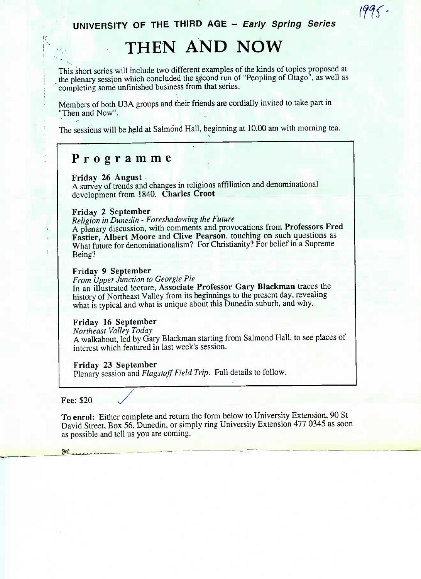## **UNIVERSITY OF THE THIRD AGE - Early Spring Series**

 $1995 -$ 

# **THEN AND NOW**

This short series will include two different examples of the kinds of topics proposed at the plenary session which concluded the second run of "Peopling of Otago", as well as completing some unfinished business from that series.

Members of both U3A groups and their friends are cordially invited to take part in "Then and Now".

The sessions will be held at Salmond Hall, beginning at 10.00 am with morning tea.

### **Programm e**

**Friday 26 August**

A survey of trends and changes in religious affiliation and denominational development from 1840. **Charles Croot**

#### **Friday 2 September**

*Religion in Dunedin - Foreshadowing the Future*

A plenary discussion, with comments and provocations from **Professors Fred Fastier, Albert Moore and Clive Pearson,** touching on such questions as What future for denominationalism? For Christianity? For belief in a Supreme Being?

#### **Friday 9 September**

*From Upper Junction to Georgie Pie*

In an illustrated lecture, **Associate Professor Gary Blackman** traces the history of Northeast Valley from its beginnings to the present day, revealing what is typical and what is unique about this Dunedin suburb, and why.

#### **Friday 16 September**

*Northeast Valley Today*

A walkabout, led by Gary Blackman starting from Salmond Hall, to see places of interest which featured in last week's session.

#### **Friday** 23 **September**

Plenary session and *Flagstaff Field Trip.* Full details to follow.

**Fee:** \$20 *^/*

 $\ddot{\phantom{a}}$ 

 $\mathbf{I}$ 

**To enrol:** Either complete and return the form below to University Extension, 90 St David Street, Box 56, Dunedin, or simply ring University Extension 477 0345 as soon as possible and tell us you are coming.

 $\frac{36}{100}$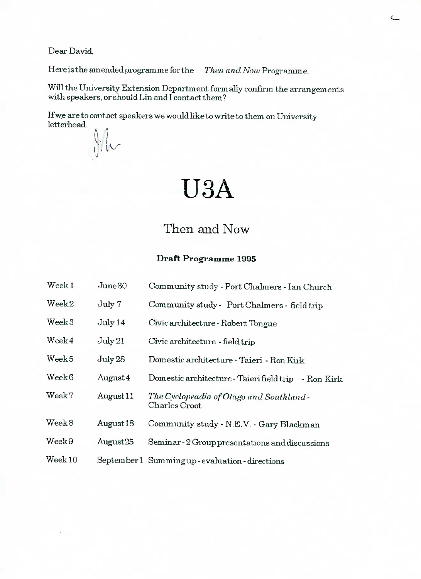Dear David,

Here is the **amendedprogramme** for the *Then and Now* Programme.

 $\subset$ 

Will the University Extension Department formally confirm the arrangements with speakers, or should Lin and I contact them?

If we are to contact speakers we would like to write to them on University letterhead

 $\int$ 

# USA

# Then and Now

#### **Draft Programme 1995**

| Week <sub>1</sub>               | $\rm June 30$        | Community study - Port Chalmers - Ian Church              |
|---------------------------------|----------------------|-----------------------------------------------------------|
| Week2                           | July 7               | Community study - Port Chalmers - field trip              |
| Week <sub>3</sub>               | July 14              | Civic architecture - Robert Tongue                        |
| Week4                           | July 21              | Civic architecture - field trip                           |
| Week <sub>5</sub>               | July28               | Domestic architecture - Taieri - Ron Kirk                 |
| Week6                           | August 4             | Domestic architecture - Taieri field trip - Ron Kirk      |
| $\rm{Weak}\,7$                  | August <sub>11</sub> | The Cyclopeadia of Otago and Southland -<br>Charles Croot |
| $\mathrm{Week}\,8$              | August 18            | Community study - N.E.V. - Gary Blackman                  |
| $\rm{Week}\,9$                  | August25             | Seminar - 2 Group presentations and discussions           |
| $\mathrm{Week}\hspace{.01in}10$ |                      | September 1 Summing up - evaluation - directions          |